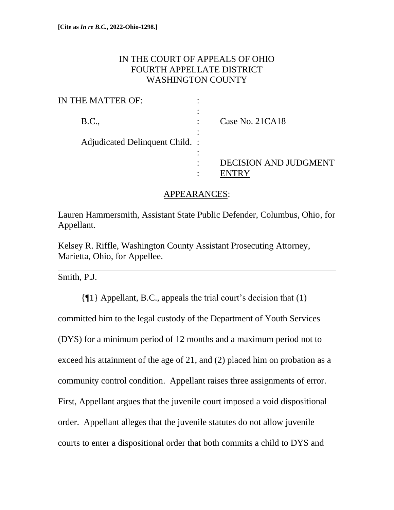# IN THE COURT OF APPEALS OF OHIO FOURTH APPELLATE DISTRICT WASHINGTON COUNTY

| IN THE MATTER OF:               | ٠ |                              |
|---------------------------------|---|------------------------------|
| B.C.,                           | ٠ | Case No. 21CA18              |
| Adjudicated Delinquent Child. : |   |                              |
|                                 | ٠ | <b>DECISION AND JUDGMENT</b> |
|                                 | ٠ | <b>JTRY</b>                  |

## APPEARANCES:

Lauren Hammersmith, Assistant State Public Defender, Columbus, Ohio, for Appellant.

Kelsey R. Riffle, Washington County Assistant Prosecuting Attorney, Marietta, Ohio, for Appellee.

Smith, P.J.

{¶1} Appellant, B.C., appeals the trial court's decision that (1) committed him to the legal custody of the Department of Youth Services (DYS) for a minimum period of 12 months and a maximum period not to exceed his attainment of the age of 21, and (2) placed him on probation as a community control condition. Appellant raises three assignments of error. First, Appellant argues that the juvenile court imposed a void dispositional order. Appellant alleges that the juvenile statutes do not allow juvenile courts to enter a dispositional order that both commits a child to DYS and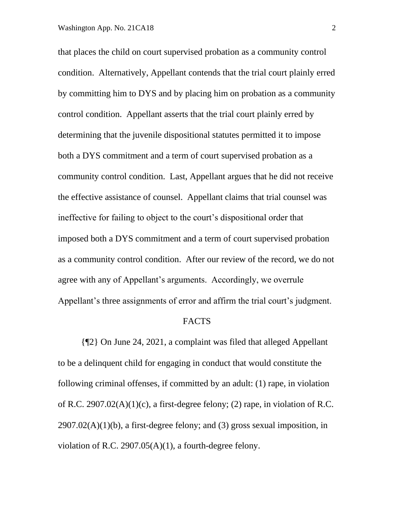that places the child on court supervised probation as a community control condition. Alternatively, Appellant contends that the trial court plainly erred by committing him to DYS and by placing him on probation as a community control condition. Appellant asserts that the trial court plainly erred by determining that the juvenile dispositional statutes permitted it to impose both a DYS commitment and a term of court supervised probation as a community control condition. Last, Appellant argues that he did not receive the effective assistance of counsel. Appellant claims that trial counsel was ineffective for failing to object to the court's dispositional order that imposed both a DYS commitment and a term of court supervised probation as a community control condition. After our review of the record, we do not agree with any of Appellant's arguments. Accordingly, we overrule Appellant's three assignments of error and affirm the trial court's judgment.

#### FACTS

{¶2} On June 24, 2021, a complaint was filed that alleged Appellant to be a delinquent child for engaging in conduct that would constitute the following criminal offenses, if committed by an adult: (1) rape, in violation of R.C. 2907.02(A)(1)(c), a first-degree felony; (2) rape, in violation of R.C.  $2907.02(A)(1)(b)$ , a first-degree felony; and (3) gross sexual imposition, in violation of R.C. 2907.05(A)(1), a fourth-degree felony.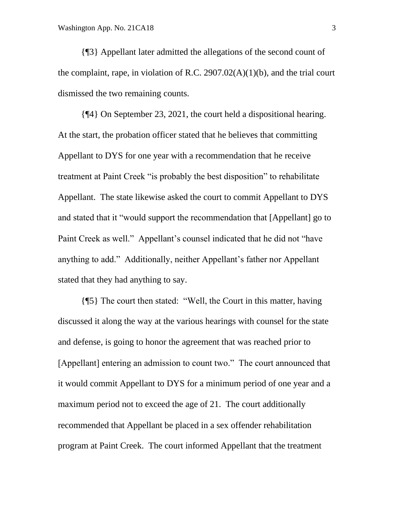{¶3} Appellant later admitted the allegations of the second count of the complaint, rape, in violation of R.C.  $2907.02(A)(1)(b)$ , and the trial court dismissed the two remaining counts.

{¶4} On September 23, 2021, the court held a dispositional hearing. At the start, the probation officer stated that he believes that committing Appellant to DYS for one year with a recommendation that he receive treatment at Paint Creek "is probably the best disposition" to rehabilitate Appellant. The state likewise asked the court to commit Appellant to DYS and stated that it "would support the recommendation that [Appellant] go to Paint Creek as well." Appellant's counsel indicated that he did not "have anything to add." Additionally, neither Appellant's father nor Appellant stated that they had anything to say.

{¶5} The court then stated: "Well, the Court in this matter, having discussed it along the way at the various hearings with counsel for the state and defense, is going to honor the agreement that was reached prior to [Appellant] entering an admission to count two." The court announced that it would commit Appellant to DYS for a minimum period of one year and a maximum period not to exceed the age of 21. The court additionally recommended that Appellant be placed in a sex offender rehabilitation program at Paint Creek. The court informed Appellant that the treatment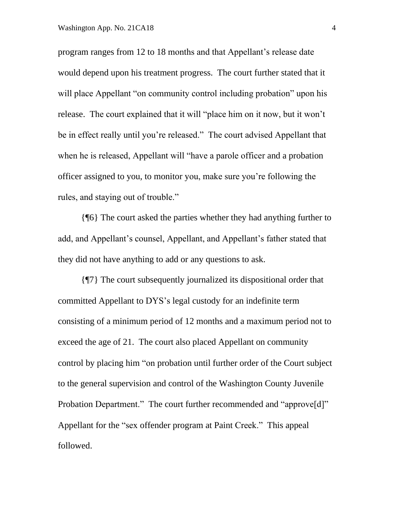program ranges from 12 to 18 months and that Appellant's release date would depend upon his treatment progress. The court further stated that it will place Appellant "on community control including probation" upon his release. The court explained that it will "place him on it now, but it won't be in effect really until you're released." The court advised Appellant that when he is released, Appellant will "have a parole officer and a probation officer assigned to you, to monitor you, make sure you're following the rules, and staying out of trouble."

{¶6} The court asked the parties whether they had anything further to add, and Appellant's counsel, Appellant, and Appellant's father stated that they did not have anything to add or any questions to ask.

{¶7} The court subsequently journalized its dispositional order that committed Appellant to DYS's legal custody for an indefinite term consisting of a minimum period of 12 months and a maximum period not to exceed the age of 21. The court also placed Appellant on community control by placing him "on probation until further order of the Court subject to the general supervision and control of the Washington County Juvenile Probation Department." The court further recommended and "approve<sup>[d]"</sup> Appellant for the "sex offender program at Paint Creek." This appeal followed.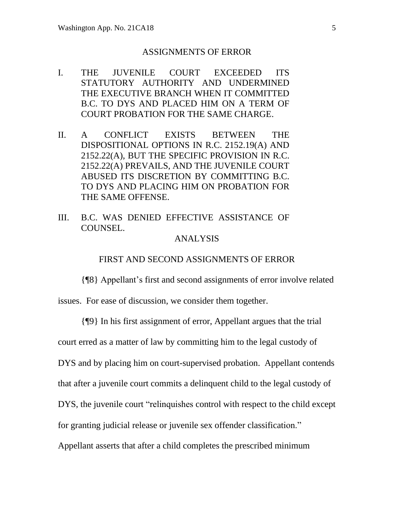#### ASSIGNMENTS OF ERROR

- I. THE JUVENILE COURT EXCEEDED ITS STATUTORY AUTHORITY AND UNDERMINED THE EXECUTIVE BRANCH WHEN IT COMMITTED B.C. TO DYS AND PLACED HIM ON A TERM OF COURT PROBATION FOR THE SAME CHARGE.
- II. A CONFLICT EXISTS BETWEEN THE DISPOSITIONAL OPTIONS IN R.C. 2152.19(A) AND 2152.22(A), BUT THE SPECIFIC PROVISION IN R.C. 2152.22(A) PREVAILS, AND THE JUVENILE COURT ABUSED ITS DISCRETION BY COMMITTING B.C. TO DYS AND PLACING HIM ON PROBATION FOR THE SAME OFFENSE.
- III. B.C. WAS DENIED EFFECTIVE ASSISTANCE OF COUNSEL.

### ANALYSIS

FIRST AND SECOND ASSIGNMENTS OF ERROR

{¶8} Appellant's first and second assignments of error involve related

issues. For ease of discussion, we consider them together.

{¶9} In his first assignment of error, Appellant argues that the trial

court erred as a matter of law by committing him to the legal custody of

DYS and by placing him on court-supervised probation. Appellant contends

that after a juvenile court commits a delinquent child to the legal custody of

DYS, the juvenile court "relinquishes control with respect to the child except

for granting judicial release or juvenile sex offender classification."

Appellant asserts that after a child completes the prescribed minimum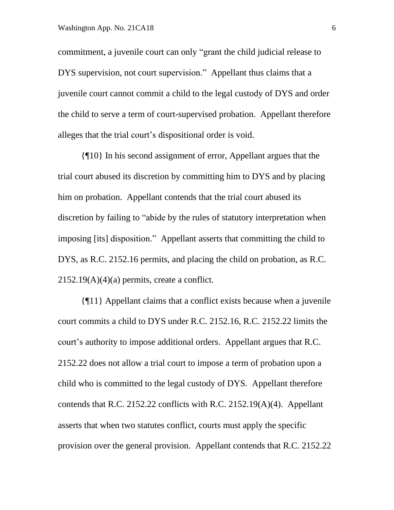commitment, a juvenile court can only "grant the child judicial release to DYS supervision, not court supervision." Appellant thus claims that a juvenile court cannot commit a child to the legal custody of DYS and order the child to serve a term of court-supervised probation. Appellant therefore alleges that the trial court's dispositional order is void.

{¶10} In his second assignment of error, Appellant argues that the trial court abused its discretion by committing him to DYS and by placing him on probation. Appellant contends that the trial court abused its discretion by failing to "abide by the rules of statutory interpretation when imposing [its] disposition." Appellant asserts that committing the child to DYS, as R.C. 2152.16 permits, and placing the child on probation, as R.C.  $2152.19(A)(4)(a)$  permits, create a conflict.

{¶11} Appellant claims that a conflict exists because when a juvenile court commits a child to DYS under R.C. 2152.16, R.C. 2152.22 limits the court's authority to impose additional orders. Appellant argues that R.C. 2152.22 does not allow a trial court to impose a term of probation upon a child who is committed to the legal custody of DYS. Appellant therefore contends that R.C. 2152.22 conflicts with R.C. 2152.19(A)(4). Appellant asserts that when two statutes conflict, courts must apply the specific provision over the general provision. Appellant contends that R.C. 2152.22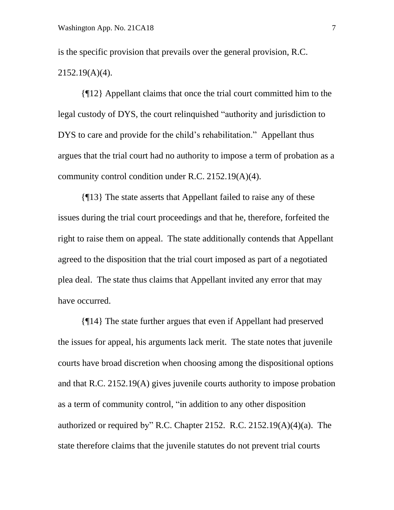is the specific provision that prevails over the general provision, R.C. 2152.19(A)(4).

{¶12} Appellant claims that once the trial court committed him to the legal custody of DYS, the court relinquished "authority and jurisdiction to DYS to care and provide for the child's rehabilitation." Appellant thus argues that the trial court had no authority to impose a term of probation as a community control condition under R.C. 2152.19(A)(4).

{¶13} The state asserts that Appellant failed to raise any of these issues during the trial court proceedings and that he, therefore, forfeited the right to raise them on appeal. The state additionally contends that Appellant agreed to the disposition that the trial court imposed as part of a negotiated plea deal. The state thus claims that Appellant invited any error that may have occurred.

{¶14} The state further argues that even if Appellant had preserved the issues for appeal, his arguments lack merit. The state notes that juvenile courts have broad discretion when choosing among the dispositional options and that R.C. 2152.19(A) gives juvenile courts authority to impose probation as a term of community control, "in addition to any other disposition authorized or required by" R.C. Chapter 2152. R.C. 2152.19(A)(4)(a). The state therefore claims that the juvenile statutes do not prevent trial courts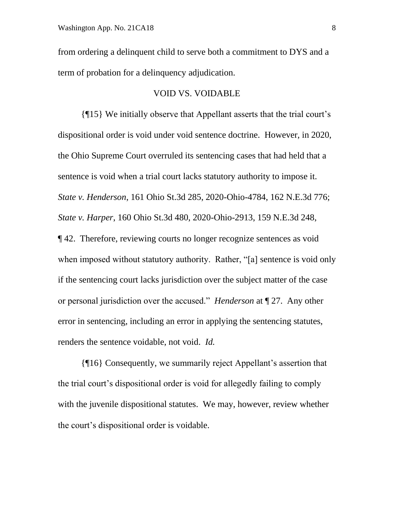from ordering a delinquent child to serve both a commitment to DYS and a term of probation for a delinquency adjudication.

### VOID VS. VOIDABLE

{¶15} We initially observe that Appellant asserts that the trial court's dispositional order is void under void sentence doctrine. However, in 2020, the Ohio Supreme Court overruled its sentencing cases that had held that a sentence is void when a trial court lacks statutory authority to impose it. *State v. Henderson*, 161 Ohio St.3d 285, 2020-Ohio-4784, 162 N.E.3d 776; *State v. Harper*, 160 Ohio St.3d 480, 2020-Ohio-2913, 159 N.E.3d 248, ¶ 42. Therefore, reviewing courts no longer recognize sentences as void when imposed without statutory authority. Rather, "[a] sentence is void only if the sentencing court lacks jurisdiction over the subject matter of the case or personal jurisdiction over the accused." *Henderson* at ¶ 27. Any other error in sentencing, including an error in applying the sentencing statutes, renders the sentence voidable, not void. *Id.* 

{¶16} Consequently, we summarily reject Appellant's assertion that the trial court's dispositional order is void for allegedly failing to comply with the juvenile dispositional statutes. We may, however, review whether the court's dispositional order is voidable.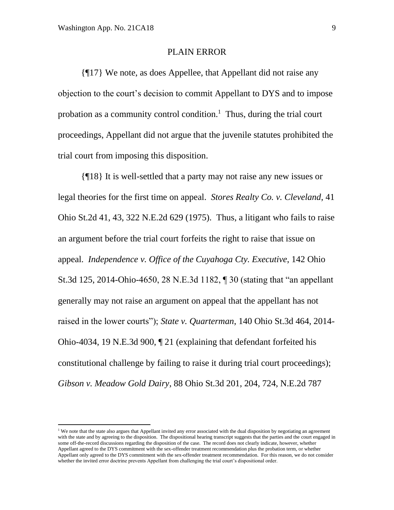#### PLAIN ERROR

{¶17} We note, as does Appellee, that Appellant did not raise any objection to the court's decision to commit Appellant to DYS and to impose probation as a community control condition.<sup>1</sup> Thus, during the trial court proceedings, Appellant did not argue that the juvenile statutes prohibited the trial court from imposing this disposition.

{¶18} It is well-settled that a party may not raise any new issues or legal theories for the first time on appeal. *Stores Realty Co. v. Cleveland*, 41 Ohio St.2d 41, 43, 322 N.E.2d 629 (1975). Thus, a litigant who fails to raise an argument before the trial court forfeits the right to raise that issue on appeal. *Independence v. Office of the Cuyahoga Cty. Executive*, 142 Ohio St.3d 125, 2014-Ohio-4650, 28 N.E.3d 1182, ¶ 30 (stating that "an appellant generally may not raise an argument on appeal that the appellant has not raised in the lower courts"); *State v. Quarterman*, 140 Ohio St.3d 464, 2014- Ohio-4034, 19 N.E.3d 900, ¶ 21 (explaining that defendant forfeited his constitutional challenge by failing to raise it during trial court proceedings); *Gibson v. Meadow Gold Dairy*, 88 Ohio St.3d 201, 204, 724, N.E.2d 787

<sup>&</sup>lt;sup>1</sup> We note that the state also argues that Appellant invited any error associated with the dual disposition by negotiating an agreement with the state and by agreeing to the disposition. The dispositional hearing transcript suggests that the parties and the court engaged in some off-the-record discussions regarding the disposition of the case. The record does not clearly indicate, however, whether Appellant agreed to the DYS commitment with the sex-offender treatment recommendation plus the probation term, or whether Appellant only agreed to the DYS commitment with the sex-offender treatment recommendation. For this reason, we do not consider whether the invited error doctrine prevents Appellant from challenging the trial court's dispositional order.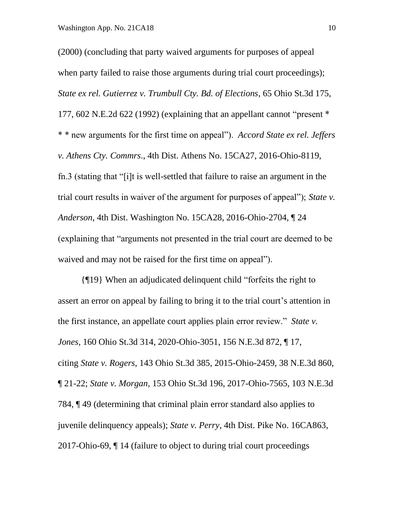(2000) (concluding that party waived arguments for purposes of appeal when party failed to raise those arguments during trial court proceedings); *State ex rel. Gutierrez v. Trumbull Cty. Bd. of Elections*, 65 Ohio St.3d 175, 177, 602 N.E.2d 622 (1992) (explaining that an appellant cannot "present \* \* \* new arguments for the first time on appeal"). *Accord State ex rel. Jeffers v. Athens Cty. Commrs*., 4th Dist. Athens No. 15CA27, 2016-Ohio-8119, fn.3 (stating that "[i]t is well-settled that failure to raise an argument in the trial court results in waiver of the argument for purposes of appeal"); *State v. Anderson*, 4th Dist. Washington No. 15CA28, 2016-Ohio-2704, ¶ 24 (explaining that "arguments not presented in the trial court are deemed to be waived and may not be raised for the first time on appeal").

{¶19} When an adjudicated delinquent child "forfeits the right to assert an error on appeal by failing to bring it to the trial court's attention in the first instance, an appellate court applies plain error review." *State v. Jones*, 160 Ohio St.3d 314, 2020-Ohio-3051, 156 N.E.3d 872, ¶ 17, citing *State v. Rogers*, 143 Ohio St.3d 385, 2015-Ohio-2459, 38 N.E.3d 860, ¶ 21-22; *State v. Morgan*, 153 Ohio St.3d 196, 2017-Ohio-7565, 103 N.E.3d 784, ¶ 49 (determining that criminal plain error standard also applies to juvenile delinquency appeals); *State v. Perry*, 4th Dist. Pike No. 16CA863, 2017-Ohio-69, ¶ 14 (failure to object to during trial court proceedings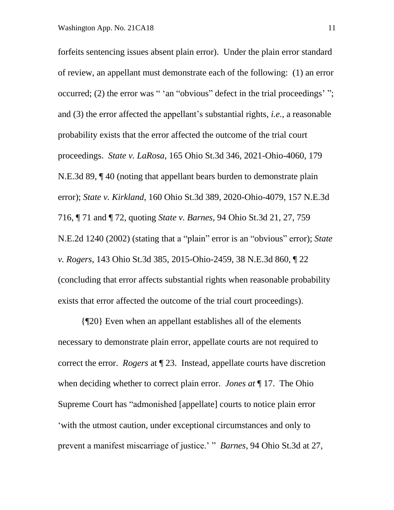forfeits sentencing issues absent plain error). Under the plain error standard of review, an appellant must demonstrate each of the following: (1) an error occurred; (2) the error was " 'an "obvious" defect in the trial proceedings' "; and (3) the error affected the appellant's substantial rights, *i.e.*, a reasonable probability exists that the error affected the outcome of the trial court proceedings. *State v. LaRosa*, 165 Ohio St.3d 346, 2021-Ohio-4060, 179 N.E.3d 89, ¶ 40 (noting that appellant bears burden to demonstrate plain error); *State v. Kirkland*, 160 Ohio St.3d 389, 2020-Ohio-4079, 157 N.E.3d 716, ¶ 71 and ¶ 72, quoting *State v. Barnes*, 94 Ohio St.3d 21, 27, 759 N.E.2d 1240 (2002) (stating that a "plain" error is an "obvious" error); *State v. Rogers*, 143 Ohio St.3d 385, 2015-Ohio-2459, 38 N.E.3d 860, ¶ 22 (concluding that error affects substantial rights when reasonable probability exists that error affected the outcome of the trial court proceedings).

{¶20} Even when an appellant establishes all of the elements necessary to demonstrate plain error, appellate courts are not required to correct the error. *Rogers* at ¶ 23. Instead, appellate courts have discretion when deciding whether to correct plain error. *Jones at* ¶ 17. The Ohio Supreme Court has "admonished [appellate] courts to notice plain error 'with the utmost caution, under exceptional circumstances and only to prevent a manifest miscarriage of justice.' " *Barnes*, 94 Ohio St.3d at 27,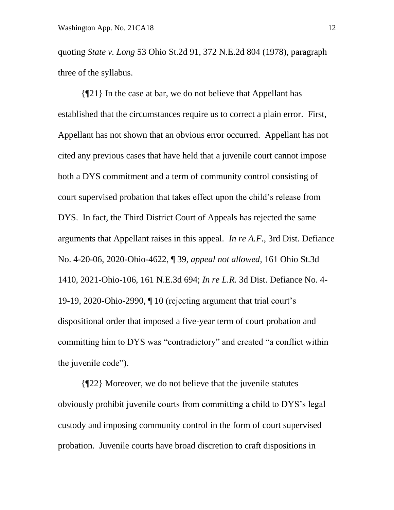quoting *State v. Long* 53 Ohio St.2d 91, 372 N.E.2d 804 (1978), paragraph three of the syllabus.

{¶21} In the case at bar, we do not believe that Appellant has established that the circumstances require us to correct a plain error. First, Appellant has not shown that an obvious error occurred. Appellant has not cited any previous cases that have held that a juvenile court cannot impose both a DYS commitment and a term of community control consisting of court supervised probation that takes effect upon the child's release from DYS. In fact, the Third District Court of Appeals has rejected the same arguments that Appellant raises in this appeal. *In re A.F.*, 3rd Dist. Defiance No. 4-20-06, 2020-Ohio-4622, ¶ 39, *appeal not allowed,* 161 Ohio St.3d 1410, 2021-Ohio-106, 161 N.E.3d 694; *In re L.R.* 3d Dist. Defiance No. 4- 19-19, 2020-Ohio-2990, ¶ 10 (rejecting argument that trial court's dispositional order that imposed a five-year term of court probation and committing him to DYS was "contradictory" and created "a conflict within the juvenile code").

{¶22} Moreover, we do not believe that the juvenile statutes obviously prohibit juvenile courts from committing a child to DYS's legal custody and imposing community control in the form of court supervised probation. Juvenile courts have broad discretion to craft dispositions in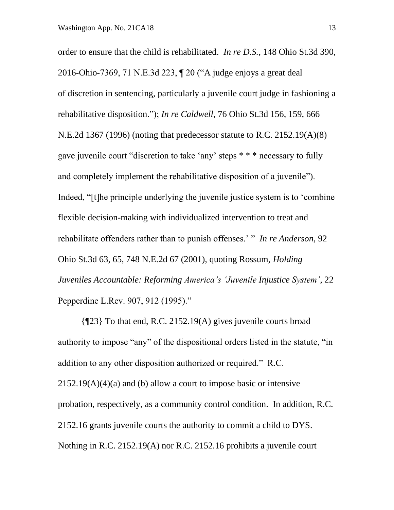order to ensure that the child is rehabilitated. *In re D.S.*, 148 Ohio St.3d 390, 2016-Ohio-7369, 71 N.E.3d 223, ¶ 20 ("A judge enjoys a great deal of discretion in sentencing, particularly a juvenile court judge in fashioning a rehabilitative disposition."); *In re Caldwell*, 76 Ohio St.3d 156, 159, 666 N.E.2d 1367 (1996) (noting that predecessor statute to R.C. 2152.19(A)(8) gave juvenile court "discretion to take 'any' steps \* \* \* necessary to fully and completely implement the rehabilitative disposition of a juvenile"). Indeed, "[t]he principle underlying the juvenile justice system is to 'combine flexible decision-making with individualized intervention to treat and rehabilitate offenders rather than to punish offenses.' " *In re Anderson,* 92 Ohio St.3d 63, 65, 748 N.E.2d 67 (2001), quoting Rossum, *Holding Juveniles Accountable: Reforming America's 'Juvenile Injustice System'*, 22 Pepperdine L.Rev. 907, 912 (1995)."

{¶23} To that end, R.C. 2152.19(A) gives juvenile courts broad authority to impose "any" of the dispositional orders listed in the statute, "in addition to any other disposition authorized or required." R.C.  $2152.19(A)(4)(a)$  and (b) allow a court to impose basic or intensive probation, respectively, as a community control condition. In addition, R.C. 2152.16 grants juvenile courts the authority to commit a child to DYS. Nothing in R.C. 2152.19(A) nor R.C. 2152.16 prohibits a juvenile court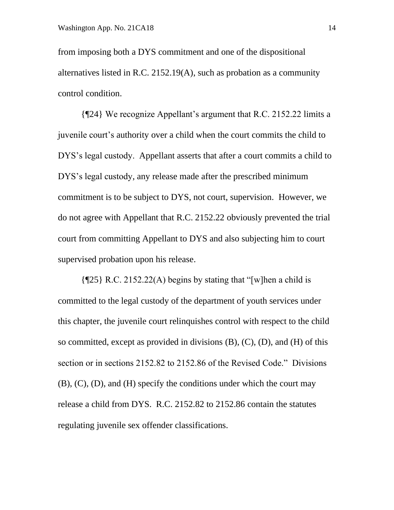from imposing both a DYS commitment and one of the dispositional alternatives listed in R.C. 2152.19(A), such as probation as a community control condition.

{¶24} We recognize Appellant's argument that R.C. 2152.22 limits a juvenile court's authority over a child when the court commits the child to DYS's legal custody. Appellant asserts that after a court commits a child to DYS's legal custody, any release made after the prescribed minimum commitment is to be subject to DYS, not court, supervision. However, we do not agree with Appellant that R.C. 2152.22 obviously prevented the trial court from committing Appellant to DYS and also subjecting him to court supervised probation upon his release.

{¶25} R.C. 2152.22(A) begins by stating that "[w]hen a child is committed to the legal custody of the department of youth services under this chapter, the juvenile court relinquishes control with respect to the child so committed, except as provided in divisions  $(B)$ ,  $(C)$ ,  $(D)$ , and  $(H)$  of this section or in sections 2152.82 to 2152.86 of the Revised Code." Divisions (B), (C), (D), and (H) specify the conditions under which the court may release a child from DYS. R.C. 2152.82 to 2152.86 contain the statutes regulating juvenile sex offender classifications.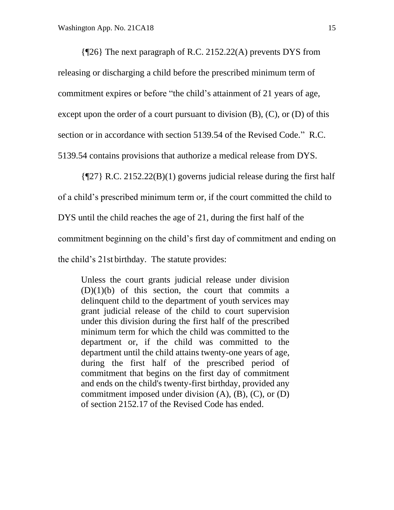{¶26} The next paragraph of R.C. 2152.22(A) prevents DYS from releasing or discharging a child before the prescribed minimum term of commitment expires or before "the child's attainment of 21 years of age, except upon the order of a court pursuant to division  $(B)$ ,  $(C)$ , or  $(D)$  of this section or in accordance with section 5139.54 of the Revised Code." R.C. 5139.54 contains provisions that authorize a medical release from DYS.

{¶27} R.C. 2152.22(B)(1) governs judicial release during the first half

of a child's prescribed minimum term or, if the court committed the child to

DYS until the child reaches the age of 21, during the first half of the

commitment beginning on the child's first day of commitment and ending on

the child's 21st birthday. The statute provides:

Unless the court grants judicial release under division (D)(1)(b) of this section, the court that commits a delinquent child to the department of youth services may grant judicial release of the child to court supervision under this division during the first half of the prescribed minimum term for which the child was committed to the department or, if the child was committed to the department until the child attains twenty-one years of age, during the first half of the prescribed period of commitment that begins on the first day of commitment and ends on the child's twenty-first birthday, provided any commitment imposed under division (A), (B), (C), or (D) of section 2152.17 of the Revised Code has ended.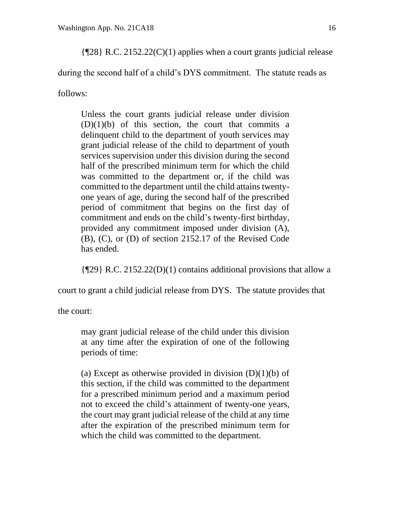{¶28} R.C. 2152.22(C)(1) applies when a court grants judicial release

during the second half of a child's DYS commitment. The statute reads as

follows:

Unless the court grants judicial release under division (D)(1)(b) of this section, the court that commits a delinquent child to the department of youth services may grant judicial release of the child to department of youth services supervision under this division during the second half of the prescribed minimum term for which the child was committed to the department or, if the child was committed to the department until the child attains twentyone years of age, during the second half of the prescribed period of commitment that begins on the first day of commitment and ends on the child's twenty-first birthday, provided any commitment imposed under division (A), (B), (C), or (D) of section 2152.17 of the Revised Code has ended.

{¶29} R.C. 2152.22(D)(1) contains additional provisions that allow a

court to grant a child judicial release from DYS. The statute provides that

the court:

may grant judicial release of the child under this division at any time after the expiration of one of the following periods of time:

(a) Except as otherwise provided in division  $(D)(1)(b)$  of this section, if the child was committed to the department for a prescribed minimum period and a maximum period not to exceed the child's attainment of twenty-one years, the court may grant judicial release of the child at any time after the expiration of the prescribed minimum term for which the child was committed to the department.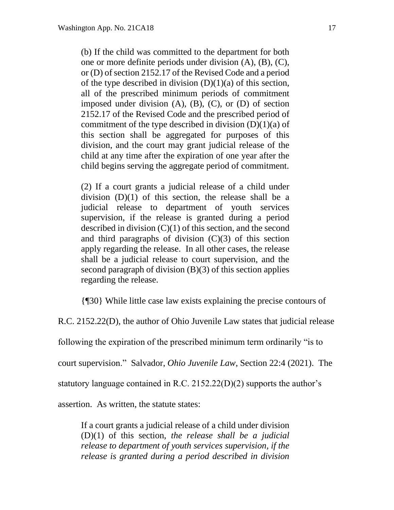(b) If the child was committed to the department for both one or more definite periods under division (A), (B), (C), or (D) of section 2152.17 of the Revised Code and a period of the type described in division  $(D)(1)(a)$  of this section, all of the prescribed minimum periods of commitment imposed under division  $(A)$ ,  $(B)$ ,  $(C)$ , or  $(D)$  of section 2152.17 of the Revised Code and the prescribed period of commitment of the type described in division  $(D)(1)(a)$  of this section shall be aggregated for purposes of this division, and the court may grant judicial release of the child at any time after the expiration of one year after the child begins serving the aggregate period of commitment.

(2) If a court grants a judicial release of a child under division  $(D)(1)$  of this section, the release shall be a judicial release to department of youth services supervision, if the release is granted during a period described in division  $(C)(1)$  of this section, and the second and third paragraphs of division  $(C)(3)$  of this section apply regarding the release. In all other cases, the release shall be a judicial release to court supervision, and the second paragraph of division (B)(3) of this section applies regarding the release.

{¶30} While little case law exists explaining the precise contours of

R.C. 2152.22(D), the author of Ohio Juvenile Law states that judicial release following the expiration of the prescribed minimum term ordinarily "is to court supervision." Salvador, *Ohio Juvenile Law*, Section 22:4 (2021). The statutory language contained in R.C. 2152.22(D)(2) supports the author's assertion. As written, the statute states:

If a court grants a judicial release of a child under division (D)(1) of this section, *the release shall be a judicial release to department of youth services supervision, if the release is granted during a period described in division*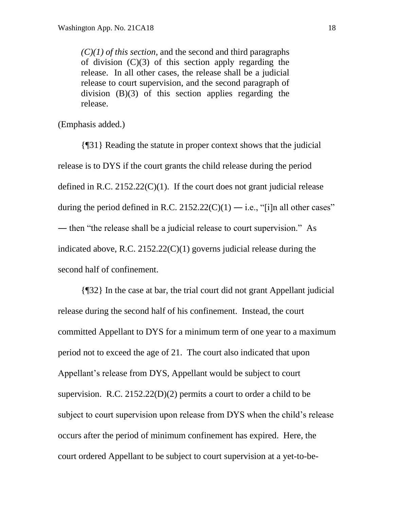*(C)(1) of this section*, and the second and third paragraphs of division  $(C)(3)$  of this section apply regarding the release. In all other cases, the release shall be a judicial release to court supervision, and the second paragraph of division (B)(3) of this section applies regarding the release.

(Emphasis added.)

{¶31} Reading the statute in proper context shows that the judicial release is to DYS if the court grants the child release during the period defined in R.C.  $2152.22(C)(1)$ . If the court does not grant judicial release during the period defined in R.C. 2152.22(C)(1) — i.e., "[i]n all other cases" ― then "the release shall be a judicial release to court supervision." As indicated above, R.C. 2152.22(C)(1) governs judicial release during the second half of confinement.

{¶32} In the case at bar, the trial court did not grant Appellant judicial release during the second half of his confinement. Instead, the court committed Appellant to DYS for a minimum term of one year to a maximum period not to exceed the age of 21. The court also indicated that upon Appellant's release from DYS, Appellant would be subject to court supervision. R.C. 2152.22(D)(2) permits a court to order a child to be subject to court supervision upon release from DYS when the child's release occurs after the period of minimum confinement has expired. Here, the court ordered Appellant to be subject to court supervision at a yet-to-be-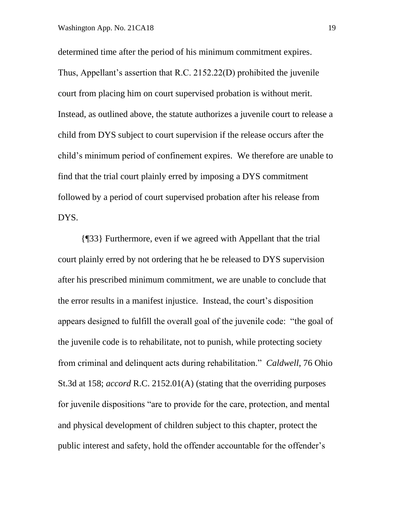determined time after the period of his minimum commitment expires. Thus, Appellant's assertion that R.C. 2152.22(D) prohibited the juvenile court from placing him on court supervised probation is without merit. Instead, as outlined above, the statute authorizes a juvenile court to release a child from DYS subject to court supervision if the release occurs after the child's minimum period of confinement expires. We therefore are unable to find that the trial court plainly erred by imposing a DYS commitment followed by a period of court supervised probation after his release from DYS.

{¶33} Furthermore, even if we agreed with Appellant that the trial court plainly erred by not ordering that he be released to DYS supervision after his prescribed minimum commitment, we are unable to conclude that the error results in a manifest injustice. Instead, the court's disposition appears designed to fulfill the overall goal of the juvenile code: "the goal of the juvenile code is to rehabilitate, not to punish, while protecting society from criminal and delinquent acts during rehabilitation." *Caldwell*, 76 Ohio St.3d at 158; *accord* R.C. 2152.01(A) (stating that the overriding purposes for juvenile dispositions "are to provide for the care, protection, and mental and physical development of children subject to this chapter, protect the public interest and safety, hold the offender accountable for the offender's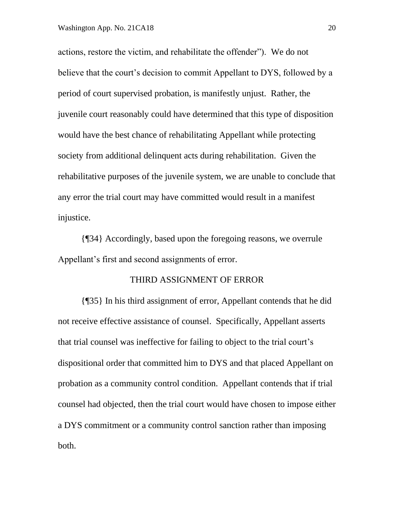actions, restore the victim, and rehabilitate the offender"). We do not believe that the court's decision to commit Appellant to DYS, followed by a period of court supervised probation, is manifestly unjust. Rather, the juvenile court reasonably could have determined that this type of disposition would have the best chance of rehabilitating Appellant while protecting society from additional delinquent acts during rehabilitation. Given the rehabilitative purposes of the juvenile system, we are unable to conclude that any error the trial court may have committed would result in a manifest injustice.

{¶34} Accordingly, based upon the foregoing reasons, we overrule Appellant's first and second assignments of error.

### THIRD ASSIGNMENT OF ERROR

{¶35} In his third assignment of error, Appellant contends that he did not receive effective assistance of counsel. Specifically, Appellant asserts that trial counsel was ineffective for failing to object to the trial court's dispositional order that committed him to DYS and that placed Appellant on probation as a community control condition. Appellant contends that if trial counsel had objected, then the trial court would have chosen to impose either a DYS commitment or a community control sanction rather than imposing both.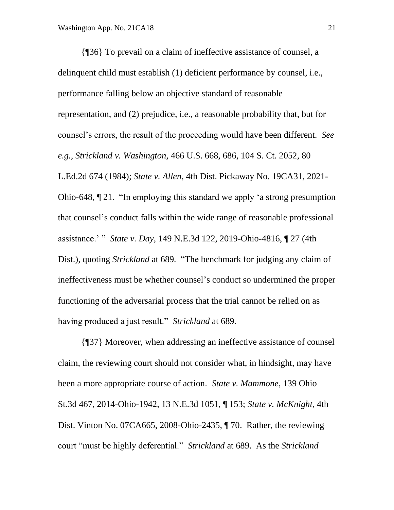{¶36} To prevail on a claim of ineffective assistance of counsel, a delinquent child must establish (1) deficient performance by counsel, i.e., performance falling below an objective standard of reasonable representation, and (2) prejudice, i.e., a reasonable probability that, but for counsel's errors, the result of the proceeding would have been different. *See e.g., Strickland v. Washington,* 466 U.S. 668, 686, 104 S. Ct. 2052, 80 L.Ed.2d 674 (1984); *State v. Allen*, 4th Dist. Pickaway No. 19CA31, 2021- Ohio-648, ¶ 21. "In employing this standard we apply 'a strong presumption that counsel's conduct falls within the wide range of reasonable professional assistance.' " *State v. Day,* 149 N.E.3d 122, 2019-Ohio-4816, ¶ 27 (4th Dist.), quoting *Strickland* at 689*.* "The benchmark for judging any claim of ineffectiveness must be whether counsel's conduct so undermined the proper functioning of the adversarial process that the trial cannot be relied on as having produced a just result." *Strickland* at 689*.*

{¶37} Moreover, when addressing an ineffective assistance of counsel claim, the reviewing court should not consider what, in hindsight, may have been a more appropriate course of action. *State v. Mammone*, 139 Ohio St.3d 467, 2014-Ohio-1942, 13 N.E.3d 1051, ¶ 153; *State v. McKnight,* 4th Dist. Vinton No. 07CA665, 2008-Ohio-2435, ¶ 70. Rather, the reviewing court "must be highly deferential." *Strickland* at 689. As the *Strickland*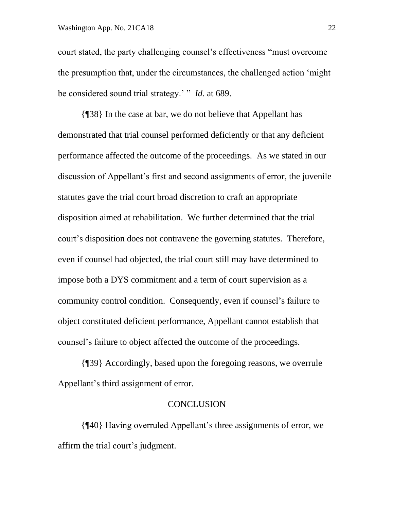court stated, the party challenging counsel's effectiveness "must overcome the presumption that, under the circumstances, the challenged action 'might be considered sound trial strategy.' " *Id.* at 689.

{¶38} In the case at bar, we do not believe that Appellant has demonstrated that trial counsel performed deficiently or that any deficient performance affected the outcome of the proceedings. As we stated in our discussion of Appellant's first and second assignments of error, the juvenile statutes gave the trial court broad discretion to craft an appropriate disposition aimed at rehabilitation. We further determined that the trial court's disposition does not contravene the governing statutes. Therefore, even if counsel had objected, the trial court still may have determined to impose both a DYS commitment and a term of court supervision as a community control condition. Consequently, even if counsel's failure to object constituted deficient performance, Appellant cannot establish that counsel's failure to object affected the outcome of the proceedings.

{¶39} Accordingly, based upon the foregoing reasons, we overrule Appellant's third assignment of error.

### **CONCLUSION**

{¶40} Having overruled Appellant's three assignments of error, we affirm the trial court's judgment.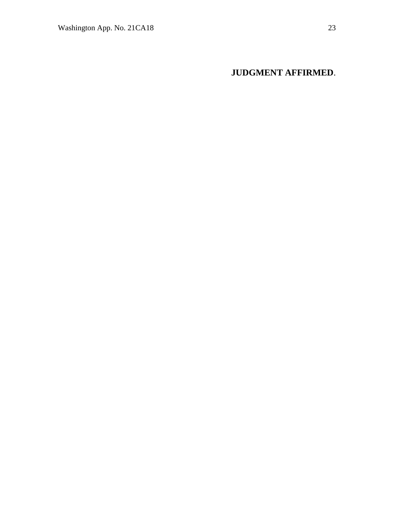**JUDGMENT AFFIRMED**.